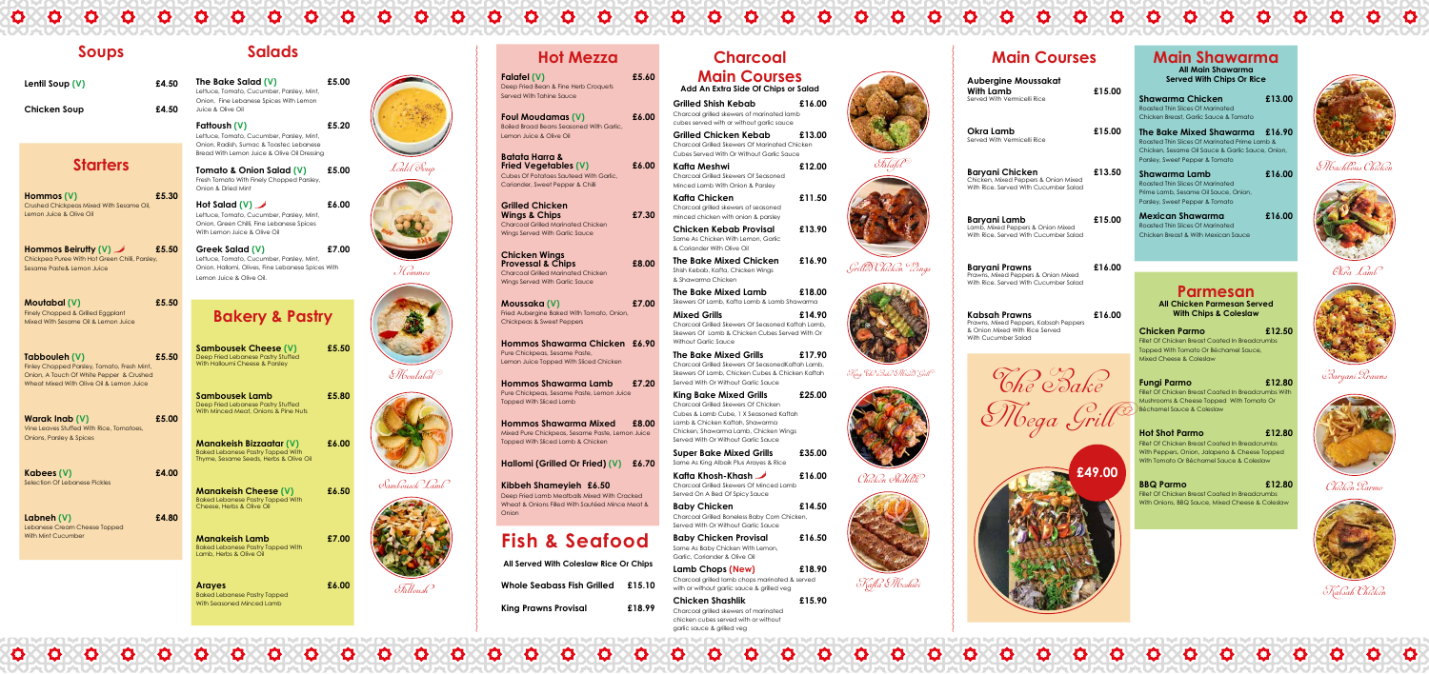## **Hot Mezza**

**Falafel (V) £5.60** Deep Fried Bean & Fine Herb Croquets Served With Tahine Sauce

**Foul Moudamas (V) £6.00** Boiled Broad Beans Seasoned With Garlic, Lemon Juice & Olive Oil

**Batata Harra & Fried Vegetables (V) £6.00** Cubes Of Potatoes Sauteed With Garlic, Coriander, Sweet Pepper & Chilli

**Grilled Chicken Wings & Chips £7.30** Charcoal Grilled Marinated Chicken Wings Served With Garlic Sauce

**Chicken Wings Provessal & Chips £8.00** Charcoal Grilled Marinated Chicken Wings Served With Garlic Sauce

**Moussaka (V) £7.00** Fried Aubergine Baked With Tomato, Onion, Chickpeas & Sweet Peppers

**Hommos Shawarma Chicken £6.90** Pure Chickpeas, Sesame Paste, Lemon Juice Topped With Sliced Chicken

**Hommos Shawarma Lamb £7.20** Pure Chickpeas, Sesame Paste, Lemon Juice Topped With Sliced Lamb

**Hommos Shawarma Mixed £8.00** Mixed Pure Chickpeas, Sesame Paste, Lemon Juice Topped With Sliced Lamb & Chicken

**Hallomi (Grilled Or Fried) (V) £6.70**

**Kibbeh Shameyieh £6.50** Deep Fried Lamb Meatballs Mixed With Cracked Wheat & Onions Filled With Sautéed Mince Meat & Onion

## **Fish & Seafood**

| All Served With Coleslaw Rice Or Chips |        |
|----------------------------------------|--------|
| Whole Seabass Fish Grilled £15.10      |        |
| <b>King Prawns Provisal</b>            | £18.99 |

## **Charcoal Main Courses Add An Extra Side Of Chips or Salad**

**Grilled Shish Kebab £16.00** Charcoal grilled skewers of marinated lamb cubes served with or without garlic sauce

**Lamb Chops (New) £18.90** Charcoal grilled lamb chops marinated & served with or without garlic sauce & grilled veg

**Grilled Chicken Kebab £13.00** Charcoal Grilled Skewers Of Marinated Chicken Cubes Served With Or Without Garlic Sauce **Kafta Meshwi £12.00**

Charcoal Grilled Skewers Of Seasoned Minced Lamb With Onion & Parsley

**Kafta Chicken £11.50** Charcoal grilled skewers of seasoned minced chicken with onion & parsley

**Chicken Kebab Provisal £13.90** Same As Chicken With Lemon, Garlic & Coriander With Olive Oil

**The Bake Mixed Chicken £16.90** Shish Kebab, Kafta, Chicken Wings & Shawarma Chicken

**The Bake Mixed Lamb £18.00** Skewers Of Lamb, Kafta Lamb & Lamb Shawarma

**Mixed Grills £14.90** Charcoal Grilled Skewers Of Seasoned Kaftah Lamb, Skewers Of Lamb & Chicken Cubes Served With Or Without Garlic Sauce

**The Bake Mixed Grills £17.90** Charcoal Grilled Skewers Of SeasonedKaftah Lamb, Skewers Of Lamb, Chicken Cubes & Chicken Kaftah Served With Or Without Garlic Sauce

**King Bake Mixed Grills £25.00** Charcoal Grilled Skewers Of Chicken Cubes & Lamb Cube, 1 X Seasoned Kaftah Lamb & Chicken Kaftah, Shawarma Chicken, Shawarma Lamb, Chicken Wings Served With Or Without Garlic Sauce

**Super Bake Mixed Grills £35.00** Same As King Albaik Plus Arayes & Rice

**Kafta Khosh-Khash £16.00** Charcoal Grilled Skewers Of Minced Lamb Served On A Bed Of Spicy Sauce

**Hommos Beirutty (V)** 65.50 Chickpea Puree With Hot Green Chilli, Parsley, Sesame Paste& Lemon Juice

> **Baby Chicken £14.50** Charcoal Grilled Boneless Baby Corn Chicken, Served With Or Without Garlic Sauce

**Baby Chicken Provisal £16.50** Same As Baby Chicken With Lemon, Garlic, Coriander & Olive Oil













garlic sauce & grilled veg



**Hot Salad (V)** 66.00 Lettuce, Tomato, Cucumber, Parsley, Mint, Onion, Green Chilli, Fine Lebanese Spices With Lemon Juice & Olive Oil



Grilled Chicken Wings



 $\mathcal{F}$ ling "Che Pake Mixed Grill"



### Chicken Shahlik



## Kafta Meshwi



Okra Lamb







Chicken Parmo



Kabsah Chicken

# **Main Courses**

**Aubergine Moussakat**

### **Main Shawarma All Main Shawarma**

**Served With Chips Or Rice**

| Shawarma Chicken<br>Roasted Thin Slices Of Marinated<br>Chicken Breast, Garlic Sauce & Tomato                                                                  | £13.00 |
|----------------------------------------------------------------------------------------------------------------------------------------------------------------|--------|
| The Bake Mixed Shawarma<br>Roasted Thin Slices Of Marinated Prime Lamb &<br>Chicken, Sesame Oil Sauce & Garlic Sauce, Onion,<br>Parsley, Sweet Pepper & Tomato | £16.90 |
| Shawarma Lamb<br>Roasted Thin Slices Of Marinated<br>Prime Lamb, Sesame Oil Sauce, Onion,<br>Parsley, Sweet Pepper & Tomato                                    | £16.00 |
| Mexican Shawarma<br>Roasted Thin Slices Of Marinated<br>Chicken Breast & With Mexican Sauce                                                                    | £16.00 |

#### **Parmesan All Chicken Parmesan Served With Chips & Coleslaw**

**Chicken Parmo £12.50** Fillet Of Chicken Breast Coated In Breadcrumbs Topped With Tomato Or Béchamel Sauce, Mixed Cheese & Coleslaw

**Fungi Parmo £12.80** Fillet Of Chicken Breast Coated In Breadcrumbs With Mushrooms & Cheese Topped With Tomato Or Béchamel Sauce & Coleslaw

**Hot Shot Parmo £12.80** Fillet Of Chicken Breast Coated In Breadcrumbs With Peppers, Onion, Jalapeno & Cheese Topped With Tomato Or Béchamel Sauce & Coleslaw

**BBQ Parmo £12.80** Fillet Of Chicken Breast Coated In Breadcrumbs With Onions, BBQ Sauce, Mixed Cheese & Coleslaw



Machbous Chicken



## **Soups**

**Lentil Soup (V) £4.50**

| Lentil Soup (V) |  |  |
|-----------------|--|--|
|                 |  |  |

**Chicken Soup £4.50**

## **Starters**

**Hommos (V) £5.30** Crushed Chickpeas Mixed With Sesame Oil, Lemon Juice & Olive Oil

| £15.00 |
|--------|
| £15.00 |
| £13.50 |
| £15.00 |
| £16.00 |
| £16.00 |
| £49.00 |
|        |

**Moutabal (V) £5.50** Finely Chopped & Grilled Eggplant Mixed With Sesame Oil & Lemon Juice

**Tabbouleh (V) £5.50** Finley Chopped Parsley, Tomato, Fresh Mint Onion, A Touch Of White Pepper & Crushed Wheat Mixed With Olive Oil & Lemon Juice

**Warak Inab (V) £5.00** Vine Leaves Stuffed With Rice, Tomatoes, Onions, Parsley & Spices

**Kabees (V) £4.00** Selection Of Lebanese Pickles

**Labneh (V) £4.80** Lebanese Cream Cheese Topped With Mint Cucumber

## **Salads**

**The Bake Salad (V) £5.00** Lettuce, Tomato, Cucumber, Parsley, Mint, Onion, Fine Lebanese Spices With Lemon Juice & Olive Oil

**Fattoush (V) £5.20** Lettuce, Tomato, Cucumber, Parsley, Mint, Onion, Radish, Sumac & Toastec Lebanese Bread With Lemon Juice & Olive Oil Dressing

**Tomato & Onion Salad (V) £5.00** Fresh Tomato With Finely Chopped Parsley, Onion & Dried Mint

**Greek Salad (V) £7.00** Lettuce, Tomato, Cucumber, Parsley, Mint, Onion, Hallomi, Olives, Fine Lebanese Spices With Lemon Juice & Olive Oil.

## **Bakery & Pastry**

| <b>Sambousek Cheese (V)</b><br>Deep Fried Lebanese Pastry Stuffed<br>With Halloumi Cheese & Parsley                  | £5.50 |
|----------------------------------------------------------------------------------------------------------------------|-------|
| Sambousek Lamb<br>Deep Fried Lebanese Pastry Stuffed<br>With Minced Meat, Onions & Pine Nuts                         | £5.80 |
| <b>Manakeish Bizzaatar (V)</b><br><b>Baked Lebanese Pastry Topped With</b><br>Thyme, Sesame Seeds, Herbs & Olive Oil | £6.00 |
| <b>Manakeish Cheese (V)</b><br><b>Baked Lebanese Pastry Topped With</b><br>Cheese, Herbs & Olive Oil                 | £6.50 |
| Manakeish Lamb<br><b>Baked Lebanese Pastry Topped With</b><br>Lamb, Herbs & Olive Oil                                | £7.00 |
| Araves                                                                                                               | £6.00 |

Baked Lebanese Pastry Topped With Seasoned Minced Lamb





Hommos



Moutabal



Sambousek Lamb



Fattoush